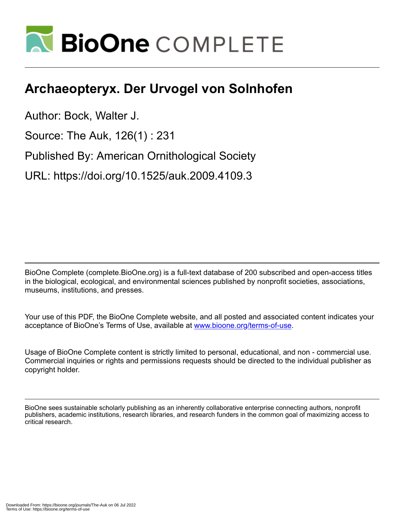

## **Archaeopteryx. Der Urvogel von Solnhofen**

Author: Bock, Walter J.

Source: The Auk, 126(1) : 231

Published By: American Ornithological Society

URL: https://doi.org/10.1525/auk.2009.4109.3

BioOne Complete (complete.BioOne.org) is a full-text database of 200 subscribed and open-access titles in the biological, ecological, and environmental sciences published by nonprofit societies, associations, museums, institutions, and presses.

Your use of this PDF, the BioOne Complete website, and all posted and associated content indicates your acceptance of BioOne's Terms of Use, available at www.bioone.org/terms-of-use.

Usage of BioOne Complete content is strictly limited to personal, educational, and non - commercial use. Commercial inquiries or rights and permissions requests should be directed to the individual publisher as copyright holder.

BioOne sees sustainable scholarly publishing as an inherently collaborative enterprise connecting authors, nonprofit publishers, academic institutions, research libraries, and research funders in the common goal of maximizing access to critical research.